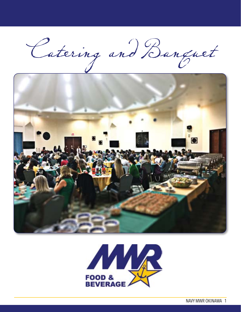Catering and Banquet



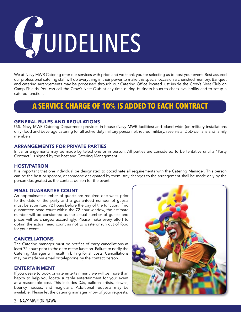# *G*UIDELINES

We at Navy MWR Catering offer our services with pride and we thank you for selecting us to host your event. Rest assured our professional catering staff will do everything in their power to make this special occasion a cherished memory. Banquet and catering arrangements may be processed through our Catering Office located just inside the Crow's Nest Club on Camp Shields. You can call the Crow's Nest Club at any time during business hours to check availability and to setup a catered function.

# **A SERVICE CHARGE OF 10% IS ADDED TO EACH CONTRACT**

### GENERAL RULES AND REGULATIONS

U.S. Navy MWR Catering Department provides in-house (Navy MWR facilities) and island wide (on military installations only) food and beverage catering for all active duty military personnel, retired military, reservists, DoD civilians and family members.

### ARRANGEMENTS FOR PRIVATE PARTIES

Initial arrangements may be made by telephone or in person. All parties are considered to be tentative until a "Party Contract" is signed by the host and Catering Management.

### HOST/PATRON

It is important that one individual be designated to coordinate all requirements with the Catering Manager. This person can be the host or sponsor, or someone designated by them. Any changes to the arrangement shall be made only by the person designated as the contact person for the event.

## FINAL GUARANTEE COUNT

An approximate number of guests are required one week prior to the date of the party and a guaranteed number of guests must be submitted 72 hours before the day of the function. If no guaranteed head count within the 72 hour window, the estimate number will be considered as the actual number of guests and prices will be charged accordingly. Please make every effort to obtain the actual head count as not to waste or run out of food for your event.

### CANCELLATIONS

The Catering manager must be notifies of party cancellations at least 72 hours prior to the date of the function. Failure to notify the Catering Manager will result in billing for all costs. Cancellations may be made via email or telephone by the contact person.

### ENTERTAINMENT

If you desire to book private entertainment, we will be more than happy to help you locate suitable entertainment for your event at a reasonable cost. This includes DJs, balloon artists, clowns, bouncy houses, and magicians. Additional requests may be available. Please let the catering manager know of your requests.

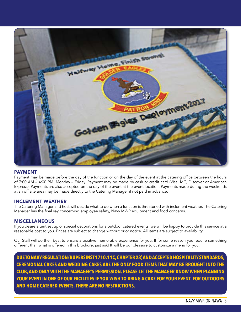

### PAYMENT

Payment may be made before the day of the function or on the day of the event at the catering office between the hours of 7:00 AM – 4:00 PM, Monday – Friday. Payment may be made by cash or credit card (Visa, MC, Discover or American Express). Payments are also accepted on the day of the event at the event location. Payments made during the weekends at an off site area may be made directly to the Catering Manager if not paid in advance.

### INCLEMENT WEATHER

The Catering Manager and host will decide what to do when a function is threatened with inclement weather. The Catering Manager has the final say concerning employee safety, Navy MWR equipment and food concerns.

### **MISCELLANEOUS**

If you desire a tent set up or special decorations for a outdoor catered events, we will be happy to provide this service at a reasonable cost to you. Prices are subject to change without prior notice. All items are subject to availability.

Our Staff will do their best to ensure a positive memorable experience for you. If for some reason you require something different than what is offered in this brochure, just ask! It will be our pleasure to customize a menu for you.

**DUE TO NAVY REGULATION (BUPERSINST 1710.11C, CHAPTER 23) AND ACCEPTED HOSPITALITY STANDARDS, CEREMONIAL CAKES AND WEDDING CAKES ARE THE ONLY FOOD ITEMS THAT MAY BE BROUGHT INTO THE CLUB, AND ONLY WITH THE MANAGER'S PERMISSION. PLEASE LET THE MANAGER KNOW WHEN PLANNING YOUR EVENT IN ONE OF OUR FACILITIES IF YOU WISH TO BRING A CAKE FOR YOUR EVENT. FOR OUTDOORS AND HOME CATERED EVENTS, THERE ARE NO RESTRICTIONS.**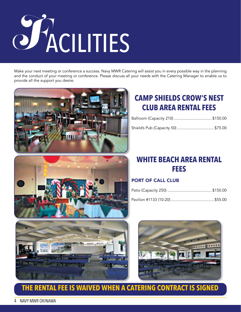

Make your next meeting or conference a success. Navy MWR Catering will assist you in every possible way in the planning and the conduct of your meeting or conference. Please discuss all your needs with the Catering Manager to enable us to provide all the support you desire.





# **CAMP SHIELDS CROW'S NEST CLUB AREA RENTAL FEES**

| Ballroom (Capacity 210) \$150.00 |  |
|----------------------------------|--|
|                                  |  |

# **WHITE BEACH AREA RENTAL FEES**

# PORT OF CALL CLUB





# **THE RENTAL FEE IS WAIVED WHEN A CATERING CONTRACT IS SIGNED**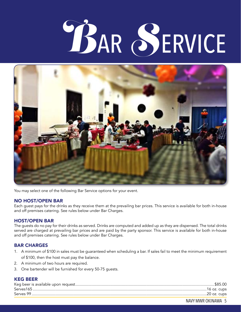# ACILITIES *B*AR *S*ERVICE



You may select one of the following Bar Service options for your event.

### NO HOST/OPEN BAR

Each guest pays for the drinks as they receive them at the prevailing bar prices. This service is available for both in-house and off premises catering. See rules below under Bar Charges.

# HOST/OPEN BAR

The guests do no pay for their drinks as served. Drinks are computed and added up as they are dispensed. The total drinks served are charged at prevailing bar prices and are paid by the party sponsor. This service is available for both in-house and off premises catering. See rules below under Bar Charges.

### BAR CHARGES

- 1. A minimum of \$100 in sales must be guaranteed when scheduling a bar. If sales fail to meet the minimum requirement of \$100, then the host must pay the balance.
- 2. A minimum of two hours are required.
- 3. One bartender will be furnished for every 50-75 guests.

# KEG BEER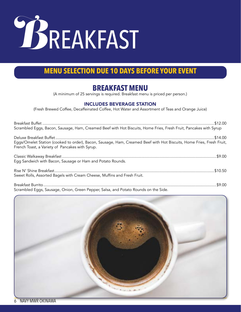

# **BREAKFAST MENU**

(A minimum of 25 servings is required. Breakfast menu is priced per person.)

# INCLUDES BEVERAGE STATION

(Fresh Brewed Coffee, Decaffeinated Coffee, Hot Water and Assortment of Teas and Orange Juice)

| Scrambled Eggs, Bacon, Sausage, Ham, Creamed Beef with Hot Biscuits, Home Fries, Fresh Fruit, Pancakes with Syrup                                                       |  |
|-------------------------------------------------------------------------------------------------------------------------------------------------------------------------|--|
|                                                                                                                                                                         |  |
| Eggs/Omelet Station (cooked to order), Bacon, Sausage, Ham, Creamed Beef with Hot Biscuits, Home Fries, Fresh Fruit,<br>French Toast, a Variety of Pancakes with Syrup. |  |
|                                                                                                                                                                         |  |
| Egg Sandwich with Bacon, Sausage or Ham and Potato Rounds.                                                                                                              |  |
|                                                                                                                                                                         |  |
| Sweet Rolls, Assorted Bagels with Cream Cheese, Muffins and Fresh Fruit.                                                                                                |  |
|                                                                                                                                                                         |  |
| Scrambled Eggs, Sausage, Onion, Green Pepper, Salsa, and Potato Rounds on the Side.                                                                                     |  |

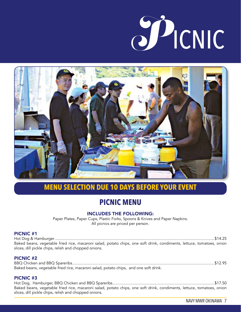



# **PICNIC MENU**

# INCLUDES THE FOLLOWING:

Paper Plates, Paper Cups, Plastic Forks, Spoons & Knives and Paper Napkins. All picnics are priced per person.

### PICNIC #1

Hot Dog & Hamburger..................................................................................................................................................\$14.25 Baked beans, vegetable fried rice, macaroni salad, potato chips, one soft drink, condiments, lettuce, tomatoes, onion slices, dill pickle chips, relish and chopped onions.

### PICNIC #2

BBQ Chicken and BBQ Spareribs..................................................................................................................................\$12.95 Baked beans, vegetable fried rice, macaroni salad, potato chips, and one soft drink.

### PICNIC #3

Hot Dog, Hamburger, BBQ Chicken and BBQ Spareribs.............................................................................................\$17.50 Baked beans, vegetable fried rice, macaroni salad, potato chips, one soft drink, condiments, lettuce, tomatoes, onion slices, dill pickle chips, relish and chopped onions.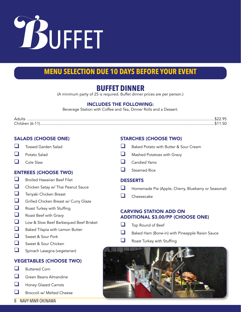

# **BUFFET DINNER**

(A minimum party of 25 is required. Buffet dinner prices are per person.)

# INCLUDES THE FOLLOWING:

Beverage Station with Coffee and Tea, Dinner Rolls and a Dessert.

| Adı         |  |
|-------------|--|
| $\cap$ hill |  |

# SALADS (CHOOSE ONE)

- $\Box$  Tossed Garden Salad
- $\Box$  Potato Salad
- $\Box$  Cole Slaw

# ENTREES (CHOOSE TWO)

- $\Box$  Broiled Hawaiian Beef Filet
- $\Box$  Chicken Satay w/ Thai Peanut Sauce
- $\Box$  Teriyaki Chicken Breast
- **Q** Grilled Chicken Breast w/ Curry Glaze
- $\Box$  Roast Turkey with Stuffing
- $\Box$  Roast Beef with Gravy
- Low & Slow Beef Barbequed Beef Brisket
- $\Box$  Baked Tilapia with Lemon Butter
- Sweet & Sour Pork
- $\Box$  Sweet & Sour Chicken
- $\Box$  Spinach Lasagna (vegetarian)

# VEGETABLES (CHOOSE TWO)

- $\Box$  Buttered Corn
- $\Box$  Green Beans Almandine
- $\Box$  Honey Glazed Carrots
- $\Box$  Broccoli w/ Melted Cheese

# STARCHES (CHOOSE TWO)

- $\Box$  Baked Potato with Butter & Sour Cream
- $\Box$  Mashed Potatoes with Gravy
- $\Box$  Candied Yams
- $\Box$  Steamed Rice

## DESSERTS

- $\Box$  Homemade Pie (Apple, Cherry, Blueberry or Seasonal)
- $\Box$  Cheesecake

# CARVING STATION ADD ON ADDITIONAL \$3.00/PP (CHOOSE ONE)

- $\Box$  Top Round of Beef
- $\Box$  Baked Ham (Bone-in) with Pineapple Raisin Sauce
- $\Box$  Roast Turkey with Stuffing



8 NAVY MWR OKINAWA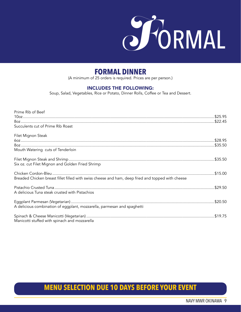

# **FORMAL DINNER**

(A minimum of 25 orders is required. Prices are per person.)

### INCLUDES THE FOLLOWING:

Soup, Salad, Vegetables, Rice or Potato, Dinner Rolls, Coffee or Tea and Dessert.

| Prime Rib of Beef                                                                                 |  |
|---------------------------------------------------------------------------------------------------|--|
|                                                                                                   |  |
|                                                                                                   |  |
| Succulents cut of Prime Rib Roast                                                                 |  |
| Filet Mignon Steak                                                                                |  |
|                                                                                                   |  |
|                                                                                                   |  |
| Mouth Watering cuts of Tenderloin                                                                 |  |
|                                                                                                   |  |
| Six oz. cut Filet Mignon and Golden Fried Shrimp                                                  |  |
|                                                                                                   |  |
| Breaded Chicken breast fillet filled with swiss cheese and ham, deep fried and topped with cheese |  |
|                                                                                                   |  |
| A delicious Tuna steak crusted with Pistachios                                                    |  |
|                                                                                                   |  |
| A delicious combination of eggplant, mozzarella, parmesan and spaghetti                           |  |
|                                                                                                   |  |
| Manicotti stuffed with spinach and mozzarella                                                     |  |

# **MENU SELECTION DUE 10 DAYS BEFORE YOUR EVENT**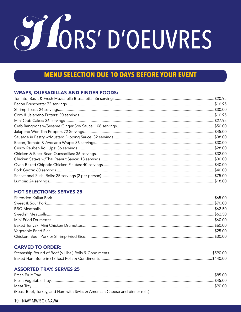# O LORS' D'OEUVRES

# **MENU SELECTION DUE 10 DAYS BEFORE YOUR EVENT**

# **WRAPS, QUESADILLAS AND FINGER FOODS:**

| .\$30.00 |
|----------|
| \$16.95  |
| \$27.95  |
| .\$50.00 |
| \$45.00  |
| \$38.00  |
| .\$30.00 |
| \$28.00  |
| .\$32.00 |
| .\$30.00 |
| .\$40.00 |
| \$40.00  |
| \$75.00  |
| .\$18.00 |

# **HOT SELECTIONS: SERVES 25**

# **CARVED TO ORDER:**

# **ASSORTED TRAY: SERVES 25**

| (Roast Beef, Turkey, and Ham with Swiss & American Cheese and dinner rolls) |  |
|-----------------------------------------------------------------------------|--|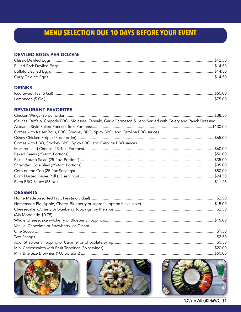# **DEVILED EGGS PER DOZEN:**

# **DRINKS**

# **RESTAURANT FAVORITES**

| (Sauces: Buffalo, Chipotle BBQ, Molasses, Teriyaki, Garlic Parmesan & Jerk) Served with Celery and Ranch Dressing |  |
|-------------------------------------------------------------------------------------------------------------------|--|
|                                                                                                                   |  |
| Comes with Kaiser Rolls, BBQ, Smokey BBQ, Spicy BBQ, and Carolina BBQ sauces                                      |  |
|                                                                                                                   |  |
| Comes with BBQ, Smokey BBQ, Spicy BBQ, and Carolina BBQ sauces                                                    |  |
|                                                                                                                   |  |
|                                                                                                                   |  |
|                                                                                                                   |  |
|                                                                                                                   |  |
|                                                                                                                   |  |
|                                                                                                                   |  |
|                                                                                                                   |  |
|                                                                                                                   |  |

# **DESSERTS**

| (Ala Mode add \$0.75)                      |         |
|--------------------------------------------|---------|
|                                            |         |
| Vanilla, Chocolate or Strawberry Ice Cream |         |
|                                            |         |
|                                            |         |
|                                            |         |
|                                            |         |
| Mini Rite Size Brownies (100 portions)     | \$50.00 |